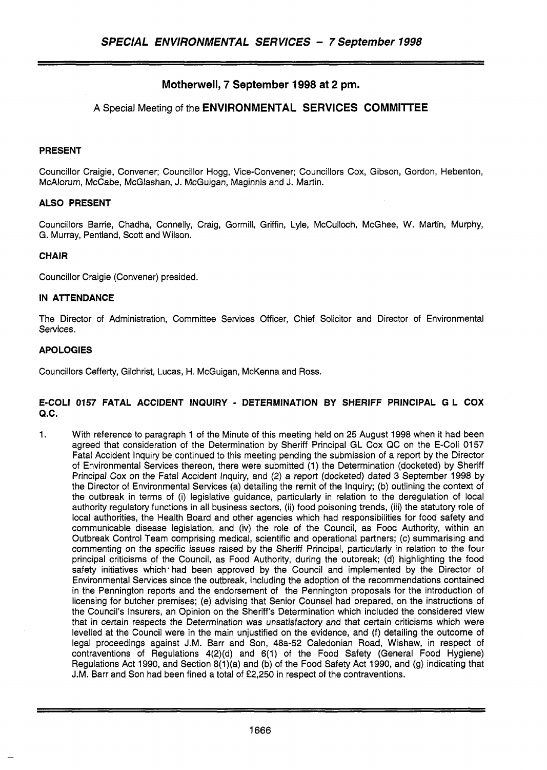# **Motherwell, 7 September 1998 at 2 pm.**

## **A** Special Meeting of the **ENVIRONMENTAL SERVICES COMMllTEE**

#### **PRESENT**

Councillor Craigie, Convener; Councillor Hogg, Vice-Convener; Councillors Cox, Gibson, Gordon, Hebenton, McAlorum, McCabe, McGlashan, J. McGuigan, Maginnis and J. Martin.

## **ALSO PRESENT**

Councillors Barrie, Chadha, Connelly, Craig, Gormill, Griffin, Lyle, McCulloch, McGhee, W. Martin, Murphy, G. Murray, Pentland, Scott and Wilson.

#### **CHAIR**

Councillor Craigie (Convener) presided.

#### **IN ATTENDANCE**

The Director of Administration, Committee Services Officer, Chief Solicitor and Director of Environmental Services.

#### **APOLOGIES**

Councillors Cefferty, Gilchrist, Lucas, H. McGuigan, McKenna and Ross.

#### **E-COL1 0157 FATAL ACCIDENT INQUIRY** - **DETERMINATION BY SHERIFF PRINCIPAL G L COX Q.C.**

1. With reference to paragraph 1 of the Minute of this meeting held on 25 August 1998 when it had been agreed that consideration of the Determination by Sheriff Principal GL Cox QC on the E-Coli 0157 Fatal Accident Inquiry be continued to this meeting pending the submission of a report by the Director of Environmental Services thereon, there were submitted (1) the Determination (docketed) by Sheriff Principal Cox on the Fatal Accident Inquiry, and (2) a report (docketed) dated **3** September 1998 by the Director of Environmental Services (a) detailing the remit of the Inquiry; (b) outlining the context of the outbreak in terms of (i) legislative guidance, particularly in relation to the deregulation of local authority regulatory functions in all business sectors, (ii) food poisoning trends, (iii) the statutory role of local authorities, the Health Board and other agencies which had responsibilities for food safety and communicable disease legislation, and (iv) the role of the Council, as Food Authority, within an Outbreak Control Team comprising medical, scientific and operational partners; (c) summarising and commenting on the specific issues raised by the Sheriff Principal, particularly in relation to the four principal criticisms of the Council, as Food Authority, during the outbreak; (d) highlighting the food safety initiatives which had been approved by the Council and implemented by the Director of Environmental Services since the outbreak, including the adoption of the recommendations contained in the Pennington reports and the endorsement of the Pennington proposals for the introduction of licensing for butcher premises; (e) advising that Senior Counsel had prepared, on the instructions of the Council's Insurers, an Opinion on the Sheriff's Determination which included the considered view that in certain respects the Determination was unsatisfactory and that certain criticisms which were levelled at the Council were in the main unjustified on the evidence, and (f) detailing the outcome of legal proceedings against J.M. Barr and Son, 48a-52 Caledonian Road, Wishaw, in respect of contraventions of Regulations 4(2)(d) and 6(1) of the Food Safety (General Food Hygiene) Regulations Act 1990, and Section 8(1)(a) and (b) of the Food Safety Act 1990, and (g) indicating that J.M. Barr and Son had been fined a total of £2,250 in respect of the contraventions.